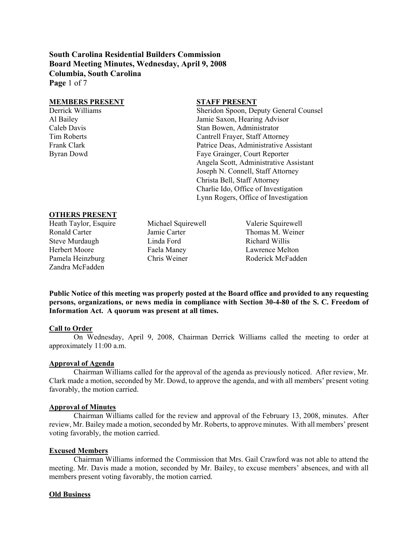**South Carolina Residential Builders Commission Board Meeting Minutes, Wednesday, April 9, 2008 Columbia, South Carolina Page** 1 of 7

#### **MEMBERS PRESENT STAFF PRESENT**

Derrick Williams Sheridon Spoon, Deputy General Counsel Al Bailey Jamie Saxon, Hearing Advisor Caleb Davis Stan Bowen, Administrator Tim Roberts Cantrell Frayer, Staff Attorney Frank Clark **Patrice Deas, Administrative Assistant** Patrice Deas, Administrative Assistant Byran Dowd Faye Grainger, Court Reporter Angela Scott, Administrative Assistant Joseph N. Connell, Staff Attorney Christa Bell, Staff Attorney Charlie Ido, Office of Investigation Lynn Rogers, Office of Investigation

## **OTHERS PRESENT**

Heath Taylor, Esquire Michael Squirewell Valerie Squirewell Ronald Carter Jamie Carter Thomas M. Weiner Steve Murdaugh Linda Ford Richard Willis Herbert Moore Faela Maney Lawrence Melton Pamela Heinzburg Chris Weiner Roderick McFadden Zandra McFadden

**Public Notice of this meeting was properly posted at the Board office and provided to any requesting persons, organizations, or news media in compliance with Section 30-4-80 of the S. C. Freedom of Information Act. A quorum was present at all times.** 

## **Call to Order**

On Wednesday, April 9, 2008, Chairman Derrick Williams called the meeting to order at approximately 11:00 a.m.

#### **Approval of Agenda**

Chairman Williams called for the approval of the agenda as previously noticed. After review, Mr. Clark made a motion, seconded by Mr. Dowd, to approve the agenda, and with all members' present voting favorably, the motion carried.

#### **Approval of Minutes**

Chairman Williams called for the review and approval of the February 13, 2008, minutes. After review, Mr. Bailey made a motion, seconded by Mr. Roberts, to approve minutes. With all members' present voting favorably, the motion carried.

## **Excused Members**

Chairman Williams informed the Commission that Mrs. Gail Crawford was not able to attend the meeting. Mr. Davis made a motion, seconded by Mr. Bailey, to excuse members' absences, and with all members present voting favorably, the motion carried.

#### **Old Business**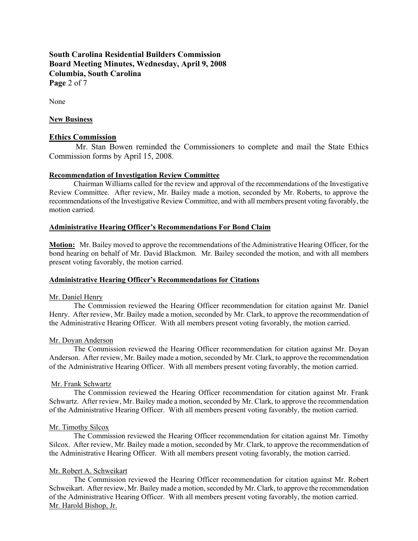**South Carolina Residential Builders Commission Board Meeting Minutes, Wednesday, April 9, 2008 Columbia, South Carolina Page** 2 of 7

None

### **New Business**

### **Ethics Commission**

 Mr. Stan Bowen reminded the Commissioners to complete and mail the State Ethics Commission forms by April 15, 2008.

## **Recommendation of Investigation Review Committee**

Chairman Williams called for the review and approval of the recommendations of the Investigative Review Committee. After review, Mr. Bailey made a motion, seconded by Mr. Roberts, to approve the recommendations of the Investigative Review Committee, and with all members present voting favorably, the motion carried.

### **Administrative Hearing Officer's Recommendations For Bond Claim**

**Motion:** Mr. Bailey moved to approve the recommendations of the Administrative Hearing Officer, for the bond hearing on behalf of Mr. David Blackmon. Mr. Bailey seconded the motion, and with all members present voting favorably, the motion carried.

#### **Administrative Hearing Officer's Recommendations for Citations**

#### Mr. Daniel Henry

The Commission reviewed the Hearing Officer recommendation for citation against Mr. Daniel Henry. After review, Mr. Bailey made a motion, seconded by Mr. Clark, to approve the recommendation of the Administrative Hearing Officer. With all members present voting favorably, the motion carried.

#### Mr. Doyan Anderson

The Commission reviewed the Hearing Officer recommendation for citation against Mr. Doyan Anderson. After review, Mr. Bailey made a motion, seconded by Mr. Clark, to approve the recommendation of the Administrative Hearing Officer. With all members present voting favorably, the motion carried.

#### Mr. Frank Schwartz

The Commission reviewed the Hearing Officer recommendation for citation against Mr. Frank Schwartz. After review, Mr. Bailey made a motion, seconded by Mr. Clark, to approve the recommendation of the Administrative Hearing Officer. With all members present voting favorably, the motion carried.

#### Mr. Timothy Silcox

The Commission reviewed the Hearing Officer recommendation for citation against Mr. Timothy Silcox. After review, Mr. Bailey made a motion, seconded by Mr. Clark, to approve the recommendation of the Administrative Hearing Officer. With all members present voting favorably, the motion carried.

### Mr. Robert A. Schweikart

The Commission reviewed the Hearing Officer recommendation for citation against Mr. Robert Schweikart. After review, Mr. Bailey made a motion, seconded by Mr. Clark, to approve the recommendation of the Administrative Hearing Officer. With all members present voting favorably, the motion carried. Mr. Harold Bishop, Jr.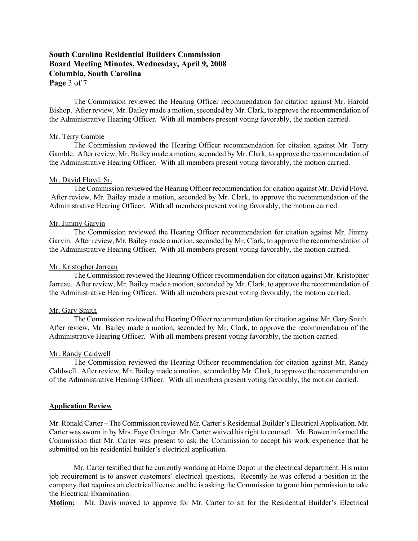# **South Carolina Residential Builders Commission Board Meeting Minutes, Wednesday, April 9, 2008 Columbia, South Carolina Page** 3 of 7

The Commission reviewed the Hearing Officer recommendation for citation against Mr. Harold Bishop. After review, Mr. Bailey made a motion, seconded by Mr. Clark, to approve the recommendation of the Administrative Hearing Officer. With all members present voting favorably, the motion carried.

#### Mr. Terry Gamble

The Commission reviewed the Hearing Officer recommendation for citation against Mr. Terry Gamble. After review, Mr. Bailey made a motion, seconded by Mr. Clark, to approve the recommendation of the Administrative Hearing Officer. With all members present voting favorably, the motion carried.

## Mr. David Floyd, Sr.

The Commission reviewed the Hearing Officer recommendation for citation against Mr. David Floyd. After review, Mr. Bailey made a motion, seconded by Mr. Clark, to approve the recommendation of the Administrative Hearing Officer. With all members present voting favorably, the motion carried.

#### Mr. Jimmy Garvin

The Commission reviewed the Hearing Officer recommendation for citation against Mr. Jimmy Garvin. After review, Mr. Bailey made a motion, seconded by Mr. Clark, to approve the recommendation of the Administrative Hearing Officer. With all members present voting favorably, the motion carried.

#### Mr. Kristopher Jarreau

The Commission reviewed the Hearing Officer recommendation for citation against Mr. Kristopher Jarreau. After review, Mr. Bailey made a motion, seconded by Mr. Clark, to approve the recommendation of the Administrative Hearing Officer. With all members present voting favorably, the motion carried.

### Mr. Gary Smith

The Commission reviewed the Hearing Officer recommendation for citation against Mr. Gary Smith. After review, Mr. Bailey made a motion, seconded by Mr. Clark, to approve the recommendation of the Administrative Hearing Officer. With all members present voting favorably, the motion carried.

#### Mr. Randy Caldwell

The Commission reviewed the Hearing Officer recommendation for citation against Mr. Randy Caldwell. After review, Mr. Bailey made a motion, seconded by Mr. Clark, to approve the recommendation of the Administrative Hearing Officer. With all members present voting favorably, the motion carried.

### **Application Review**

Mr. Ronald Carter – The Commission reviewed Mr. Carter's Residential Builder's Electrical Application. Mr. Carter was sworn in by Mrs. Faye Grainger. Mr. Carter waived his right to counsel. Mr. Bowen informed the Commission that Mr. Carter was present to ask the Commission to accept his work experience that he submitted on his residential builder's electrical application.

Mr. Carter testified that he currently working at Home Depot in the electrical department. His main job requirement is to answer customers' electrical questions. Recently he was offered a position in the company that requires an electrical license and he is asking the Commission to grant him permission to take the Electrical Examination.

**Motion:** Mr. Davis moved to approve for Mr. Carter to sit for the Residential Builder's Electrical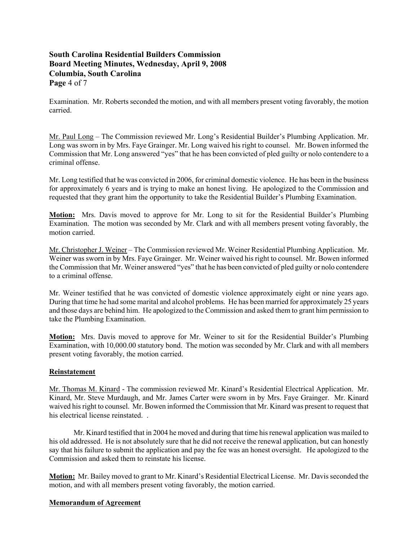# **South Carolina Residential Builders Commission Board Meeting Minutes, Wednesday, April 9, 2008 Columbia, South Carolina Page** 4 of 7

Examination. Mr. Roberts seconded the motion, and with all members present voting favorably, the motion carried.

Mr. Paul Long – The Commission reviewed Mr. Long's Residential Builder's Plumbing Application. Mr. Long was sworn in by Mrs. Faye Grainger. Mr. Long waived his right to counsel. Mr. Bowen informed the Commission that Mr. Long answered "yes" that he has been convicted of pled guilty or nolo contendere to a criminal offense.

Mr. Long testified that he was convicted in 2006, for criminal domestic violence. He has been in the business for approximately 6 years and is trying to make an honest living. He apologized to the Commission and requested that they grant him the opportunity to take the Residential Builder's Plumbing Examination.

**Motion:** Mrs. Davis moved to approve for Mr. Long to sit for the Residential Builder's Plumbing Examination. The motion was seconded by Mr. Clark and with all members present voting favorably, the motion carried.

Mr. Christopher J. Weiner – The Commission reviewed Mr. Weiner Residential Plumbing Application. Mr. Weiner was sworn in by Mrs. Faye Grainger. Mr. Weiner waived his right to counsel. Mr. Bowen informed the Commission that Mr. Weiner answered "yes" that he has been convicted of pled guilty or nolo contendere to a criminal offense.

Mr. Weiner testified that he was convicted of domestic violence approximately eight or nine years ago. During that time he had some marital and alcohol problems. He has been married for approximately 25 years and those days are behind him. He apologized to the Commission and asked them to grant him permission to take the Plumbing Examination.

**Motion:** Mrs. Davis moved to approve for Mr. Weiner to sit for the Residential Builder's Plumbing Examination, with 10,000.00 statutory bond. The motion was seconded by Mr. Clark and with all members present voting favorably, the motion carried.

## **Reinstatement**

Mr. Thomas M. Kinard - The commission reviewed Mr. Kinard's Residential Electrical Application. Mr. Kinard, Mr. Steve Murdaugh, and Mr. James Carter were sworn in by Mrs. Faye Grainger. Mr. Kinard waived his right to counsel. Mr. Bowen informed the Commission that Mr. Kinard was present to request that his electrical license reinstated

 Mr. Kinard testified that in 2004 he moved and during that time his renewal application was mailed to his old addressed. He is not absolutely sure that he did not receive the renewal application, but can honestly say that his failure to submit the application and pay the fee was an honest oversight. He apologized to the Commission and asked them to reinstate his license.

**Motion:** Mr. Bailey moved to grant to Mr. Kinard's Residential Electrical License. Mr. Davis seconded the motion, and with all members present voting favorably, the motion carried.

## **Memorandum of Agreement**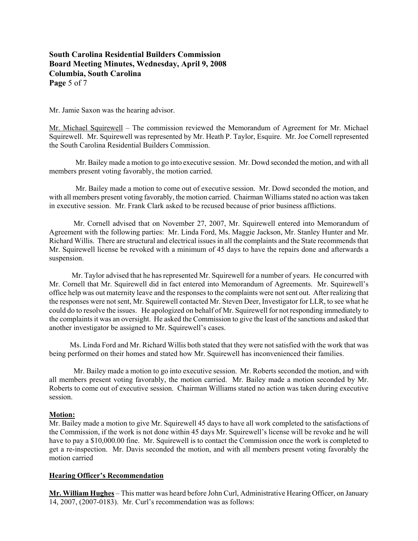# **South Carolina Residential Builders Commission Board Meeting Minutes, Wednesday, April 9, 2008 Columbia, South Carolina Page** 5 of 7

Mr. Jamie Saxon was the hearing advisor.

Mr. Michael Squirewell – The commission reviewed the Memorandum of Agreement for Mr. Michael Squirewell. Mr. Squirewell was represented by Mr. Heath P. Taylor, Esquire. Mr. Joe Cornell represented the South Carolina Residential Builders Commission.

 Mr. Bailey made a motion to go into executive session. Mr. Dowd seconded the motion, and with all members present voting favorably, the motion carried.

 Mr. Bailey made a motion to come out of executive session. Mr. Dowd seconded the motion, and with all members present voting favorably, the motion carried. Chairman Williams stated no action was taken in executive session. Mr. Frank Clark asked to be recused because of prior business afflictions.

 Mr. Cornell advised that on November 27, 2007, Mr. Squirewell entered into Memorandum of Agreement with the following parties: Mr. Linda Ford, Ms. Maggie Jackson, Mr. Stanley Hunter and Mr. Richard Willis. There are structural and electrical issues in all the complaints and the State recommends that Mr. Squirewell license be revoked with a minimum of 45 days to have the repairs done and afterwards a suspension.

 Mr. Taylor advised that he has represented Mr. Squirewell for a number of years. He concurred with Mr. Cornell that Mr. Squirewell did in fact entered into Memorandum of Agreements. Mr. Squirewell's office help was out maternity leave and the responses to the complaints were not sent out. After realizing that the responses were not sent, Mr. Squirewell contacted Mr. Steven Deer, Investigator for LLR, to see what he could do to resolve the issues. He apologized on behalf of Mr. Squirewell for not responding immediately to the complaints it was an oversight. He asked the Commission to give the least of the sanctions and asked that another investigator be assigned to Mr. Squirewell's cases.

 Ms. Linda Ford and Mr. Richard Willis both stated that they were not satisfied with the work that was being performed on their homes and stated how Mr. Squirewell has inconvenienced their families.

 Mr. Bailey made a motion to go into executive session. Mr. Roberts seconded the motion, and with all members present voting favorably, the motion carried. Mr. Bailey made a motion seconded by Mr. Roberts to come out of executive session. Chairman Williams stated no action was taken during executive session.

## **Motion:**

Mr. Bailey made a motion to give Mr. Squirewell 45 days to have all work completed to the satisfactions of the Commission, if the work is not done within 45 days Mr. Squirewell's license will be revoke and he will have to pay a \$10,000.00 fine. Mr. Squirewell is to contact the Commission once the work is completed to get a re-inspection. Mr. Davis seconded the motion, and with all members present voting favorably the motion carried

## **Hearing Officer's Recommendation**

**Mr. William Hughes** – This matter was heard before John Curl, Administrative Hearing Officer, on January 14, 2007, (2007-0183). Mr. Curl's recommendation was as follows: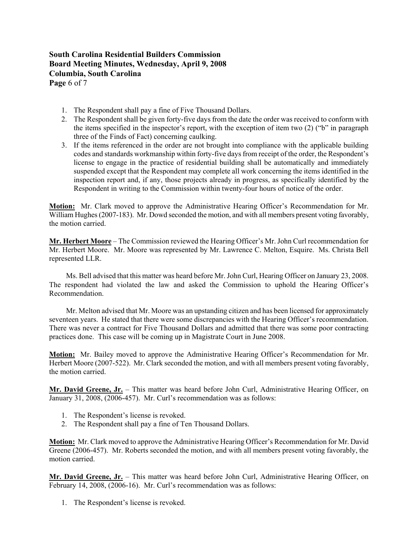# **South Carolina Residential Builders Commission Board Meeting Minutes, Wednesday, April 9, 2008 Columbia, South Carolina Page** 6 of 7

- 1. The Respondent shall pay a fine of Five Thousand Dollars.
- 2. The Respondent shall be given forty-five days from the date the order was received to conform with the items specified in the inspector's report, with the exception of item two (2) ("b" in paragraph three of the Finds of Fact) concerning caulking.
- 3. If the items referenced in the order are not brought into compliance with the applicable building codes and standards workmanship within forty-five days from receipt of the order, the Respondent's license to engage in the practice of residential building shall be automatically and immediately suspended except that the Respondent may complete all work concerning the items identified in the inspection report and, if any, those projects already in progress, as specifically identified by the Respondent in writing to the Commission within twenty-four hours of notice of the order.

**Motion:** Mr. Clark moved to approve the Administrative Hearing Officer's Recommendation for Mr. William Hughes (2007-183). Mr. Dowd seconded the motion, and with all members present voting favorably, the motion carried.

**Mr. Herbert Moore** – The Commission reviewed the Hearing Officer's Mr. John Curl recommendation for Mr. Herbert Moore. Mr. Moore was represented by Mr. Lawrence C. Melton, Esquire. Ms. Christa Bell represented LLR.

 Ms. Bell advised that this matter was heard before Mr. John Curl, Hearing Officer on January 23, 2008. The respondent had violated the law and asked the Commission to uphold the Hearing Officer's Recommendation.

 Mr. Melton advised that Mr. Moore was an upstanding citizen and has been licensed for approximately seventeen years. He stated that there were some discrepancies with the Hearing Officer's recommendation. There was never a contract for Five Thousand Dollars and admitted that there was some poor contracting practices done. This case will be coming up in Magistrate Court in June 2008.

**Motion:** Mr. Bailey moved to approve the Administrative Hearing Officer's Recommendation for Mr. Herbert Moore (2007-522). Mr. Clark seconded the motion, and with all members present voting favorably, the motion carried.

**Mr. David Greene, Jr.** – This matter was heard before John Curl, Administrative Hearing Officer, on January 31, 2008, (2006-457). Mr. Curl's recommendation was as follows:

- 1. The Respondent's license is revoked.
- 2. The Respondent shall pay a fine of Ten Thousand Dollars.

**Motion:** Mr. Clark moved to approve the Administrative Hearing Officer's Recommendation for Mr. David Greene (2006-457). Mr. Roberts seconded the motion, and with all members present voting favorably, the motion carried.

**Mr. David Greene, Jr.** – This matter was heard before John Curl, Administrative Hearing Officer, on February 14, 2008, (2006-16). Mr. Curl's recommendation was as follows:

1. The Respondent's license is revoked.